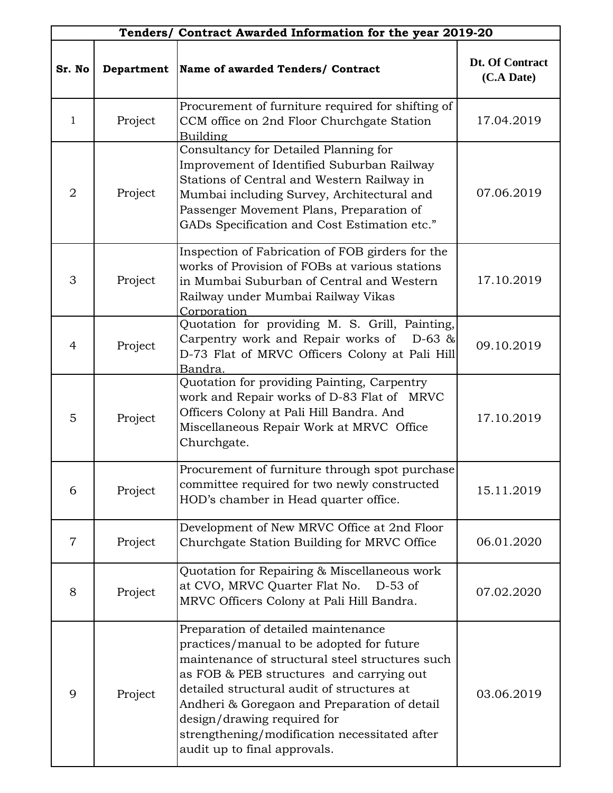|                |            | Tenders/ Contract Awarded Information for the year 2019-20                                                                                                                                                                                                                                                                                                                                    |                               |
|----------------|------------|-----------------------------------------------------------------------------------------------------------------------------------------------------------------------------------------------------------------------------------------------------------------------------------------------------------------------------------------------------------------------------------------------|-------------------------------|
| Sr. No         | Department | Name of awarded Tenders/ Contract                                                                                                                                                                                                                                                                                                                                                             | Dt. Of Contract<br>(C.A Date) |
| 1              | Project    | Procurement of furniture required for shifting of<br>CCM office on 2nd Floor Churchgate Station<br><b>Building</b>                                                                                                                                                                                                                                                                            | 17.04.2019                    |
| $\overline{2}$ | Project    | Consultancy for Detailed Planning for<br>Improvement of Identified Suburban Railway<br>Stations of Central and Western Railway in<br>Mumbai including Survey, Architectural and<br>Passenger Movement Plans, Preparation of<br>GADs Specification and Cost Estimation etc."                                                                                                                   | 07.06.2019                    |
| 3              | Project    | Inspection of Fabrication of FOB girders for the<br>works of Provision of FOBs at various stations<br>in Mumbai Suburban of Central and Western<br>Railway under Mumbai Railway Vikas<br>Corporation                                                                                                                                                                                          | 17.10.2019                    |
| $\overline{4}$ | Project    | Quotation for providing M. S. Grill, Painting,<br>Carpentry work and Repair works of<br>$D-63$ &<br>D-73 Flat of MRVC Officers Colony at Pali Hill<br>Bandra.                                                                                                                                                                                                                                 | 09.10.2019                    |
| 5              | Project    | Quotation for providing Painting, Carpentry<br>work and Repair works of D-83 Flat of MRVC<br>Officers Colony at Pali Hill Bandra. And<br>Miscellaneous Repair Work at MRVC Office<br>Churchgate.                                                                                                                                                                                              | 17.10.2019                    |
| 6              | Project    | Procurement of furniture through spot purchase<br>committee required for two newly constructed<br>HOD's chamber in Head quarter office.                                                                                                                                                                                                                                                       | 15.11.2019                    |
| $\overline{7}$ | Project    | Development of New MRVC Office at 2nd Floor<br>Churchgate Station Building for MRVC Office                                                                                                                                                                                                                                                                                                    | 06.01.2020                    |
| 8              | Project    | Quotation for Repairing & Miscellaneous work<br>at CVO, MRVC Quarter Flat No.<br>$D-53$ of<br>MRVC Officers Colony at Pali Hill Bandra.                                                                                                                                                                                                                                                       | 07.02.2020                    |
| 9              | Project    | Preparation of detailed maintenance<br>practices/manual to be adopted for future<br>maintenance of structural steel structures such<br>as FOB & PEB structures and carrying out<br>detailed structural audit of structures at<br>Andheri & Goregaon and Preparation of detail<br>design/drawing required for<br>strengthening/modification necessitated after<br>audit up to final approvals. | 03.06.2019                    |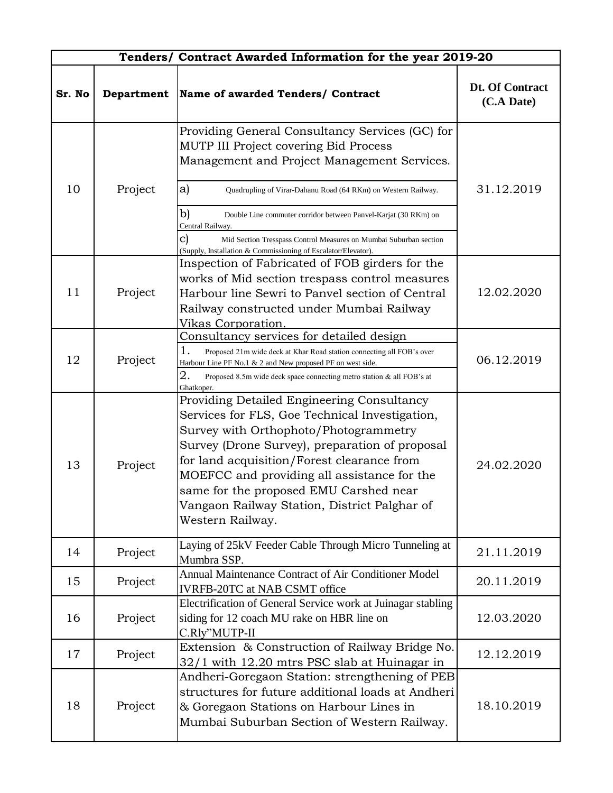|        |            | Tenders/ Contract Awarded Information for the year 2019-20                                                                                                                                                                                                                                                                                                                                         |                               |
|--------|------------|----------------------------------------------------------------------------------------------------------------------------------------------------------------------------------------------------------------------------------------------------------------------------------------------------------------------------------------------------------------------------------------------------|-------------------------------|
| Sr. No | Department | Name of awarded Tenders/ Contract                                                                                                                                                                                                                                                                                                                                                                  | Dt. Of Contract<br>(C.A Date) |
|        |            | Providing General Consultancy Services (GC) for<br>MUTP III Project covering Bid Process<br>Management and Project Management Services.                                                                                                                                                                                                                                                            |                               |
| 10     | Project    | a)<br>Quadrupling of Virar-Dahanu Road (64 RKm) on Western Railway.                                                                                                                                                                                                                                                                                                                                | 31.12.2019                    |
|        |            | b)<br>Double Line commuter corridor between Panvel-Karjat (30 RKm) on<br>Central Railway.                                                                                                                                                                                                                                                                                                          |                               |
|        |            | $\mathbf{c})$<br>Mid Section Tresspass Control Measures on Mumbai Suburban section<br>(Supply, Installation & Commissioning of Escalator/Elevator).                                                                                                                                                                                                                                                |                               |
|        |            | Inspection of Fabricated of FOB girders for the                                                                                                                                                                                                                                                                                                                                                    |                               |
|        |            | works of Mid section trespass control measures                                                                                                                                                                                                                                                                                                                                                     |                               |
| 11     | Project    | Harbour line Sewri to Panyel section of Central                                                                                                                                                                                                                                                                                                                                                    | 12.02.2020                    |
|        |            | Railway constructed under Mumbai Railway                                                                                                                                                                                                                                                                                                                                                           |                               |
|        |            | Vikas Corporation.                                                                                                                                                                                                                                                                                                                                                                                 |                               |
|        |            | Consultancy services for detailed design                                                                                                                                                                                                                                                                                                                                                           |                               |
|        |            | 1.<br>Proposed 21m wide deck at Khar Road station connecting all FOB's over                                                                                                                                                                                                                                                                                                                        |                               |
| 12     | Project    | Harbour Line PF No.1 & 2 and New proposed PF on west side.                                                                                                                                                                                                                                                                                                                                         | 06.12.2019                    |
|        |            | 2.<br>Proposed 8.5m wide deck space connecting metro station & all FOB's at<br>Ghatkoper.                                                                                                                                                                                                                                                                                                          |                               |
| 13     | Project    | Providing Detailed Engineering Consultancy<br>Services for FLS, Goe Technical Investigation,<br>Survey with Orthophoto/Photogrammetry<br>Survey (Drone Survey), preparation of proposal<br>for land acquisition/Forest clearance from<br>MOEFCC and providing all assistance for the<br>same for the proposed EMU Carshed near<br>Vangaon Railway Station, District Palghar of<br>Western Railway. | 24.02.2020                    |
| 14     | Project    | Laying of 25kV Feeder Cable Through Micro Tunneling at<br>Mumbra SSP.                                                                                                                                                                                                                                                                                                                              | 21.11.2019                    |
| 15     | Project    | Annual Maintenance Contract of Air Conditioner Model<br><b>IVRFB-20TC at NAB CSMT office</b>                                                                                                                                                                                                                                                                                                       | 20.11.2019                    |
| 16     | Project    | Electrification of General Service work at Juinagar stabling<br>siding for 12 coach MU rake on HBR line on<br>C.Rly"MUTP-II                                                                                                                                                                                                                                                                        | 12.03.2020                    |
| 17     | Project    | Extension & Construction of Railway Bridge No.<br>32/1 with 12.20 mtrs PSC slab at Huinagar in                                                                                                                                                                                                                                                                                                     | 12.12.2019                    |
| 18     | Project    | Andheri-Goregaon Station: strengthening of PEB<br>structures for future additional loads at Andheri<br>& Goregaon Stations on Harbour Lines in<br>Mumbai Suburban Section of Western Railway.                                                                                                                                                                                                      | 18.10.2019                    |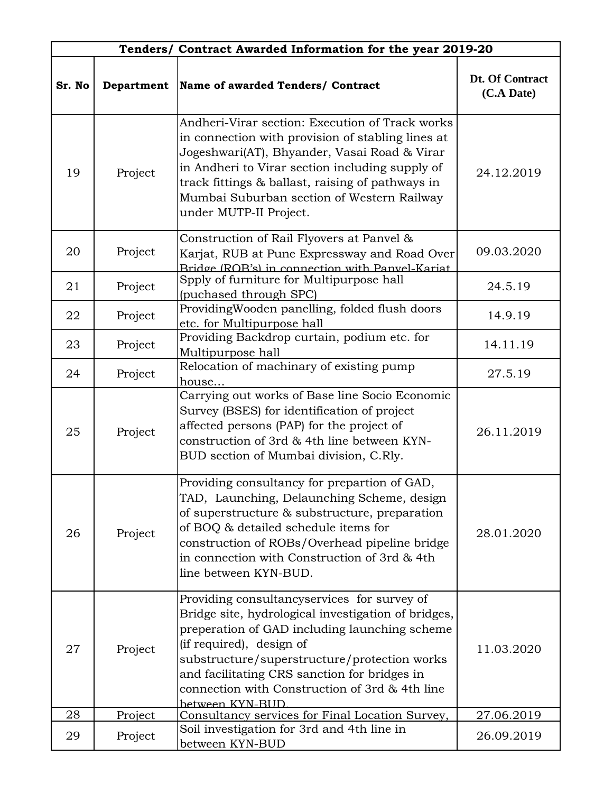|        |            | Tenders/ Contract Awarded Information for the year 2019-20                                                                                                                                                                                                                                                                                           |                               |
|--------|------------|------------------------------------------------------------------------------------------------------------------------------------------------------------------------------------------------------------------------------------------------------------------------------------------------------------------------------------------------------|-------------------------------|
| Sr. No | Department | Name of awarded Tenders/ Contract                                                                                                                                                                                                                                                                                                                    | Dt. Of Contract<br>(C.A Date) |
| 19     | Project    | Andheri-Virar section: Execution of Track works<br>in connection with provision of stabling lines at<br>Jogeshwari(AT), Bhyander, Vasai Road & Virar<br>in Andheri to Virar section including supply of<br>track fittings & ballast, raising of pathways in<br>Mumbai Suburban section of Western Railway<br>under MUTP-II Project.                  | 24.12.2019                    |
| 20     | Project    | Construction of Rail Flyovers at Panvel &<br>Karjat, RUB at Pune Expressway and Road Over<br>Bridge (ROB's) in connection with Panyel-Kariat                                                                                                                                                                                                         | 09.03.2020                    |
| 21     | Project    | Spply of furniture for Multipurpose hall<br>(puchased through SPC)                                                                                                                                                                                                                                                                                   | 24.5.19                       |
| 22     | Project    | ProvidingWooden panelling, folded flush doors<br>etc. for Multipurpose hall                                                                                                                                                                                                                                                                          | 14.9.19                       |
| 23     | Project    | Providing Backdrop curtain, podium etc. for<br>Multipurpose hall                                                                                                                                                                                                                                                                                     | 14.11.19                      |
| 24     | Project    | Relocation of machinary of existing pump<br>house                                                                                                                                                                                                                                                                                                    | 27.5.19                       |
| 25     | Project    | Carrying out works of Base line Socio Economic<br>Survey (BSES) for identification of project<br>affected persons (PAP) for the project of<br>construction of 3rd & 4th line between KYN-<br>BUD section of Mumbai division, C.Rly.                                                                                                                  | 26.11.2019                    |
| 26     | Project    | Providing consultancy for prepartion of GAD,<br>TAD, Launching, Delaunching Scheme, design<br>of superstructure & substructure, preparation<br>of BOQ & detailed schedule items for<br>construction of ROBs/Overhead pipeline bridge<br>in connection with Construction of 3rd & 4th<br>line between KYN-BUD.                                        | 28.01.2020                    |
| 27     | Project    | Providing consultancyservices for survey of<br>Bridge site, hydrological investigation of bridges,<br>preperation of GAD including launching scheme<br>(if required), design of<br>substructure/superstructure/protection works<br>and facilitating CRS sanction for bridges in<br>connection with Construction of 3rd & 4th line<br>hetween KYN-BUD | 11.03.2020                    |
| 28     | Project    | Consultancy services for Final Location Survey,                                                                                                                                                                                                                                                                                                      | 27.06.2019                    |
| 29     | Project    | Soil investigation for 3rd and 4th line in<br>between KYN-BUD                                                                                                                                                                                                                                                                                        | 26.09.2019                    |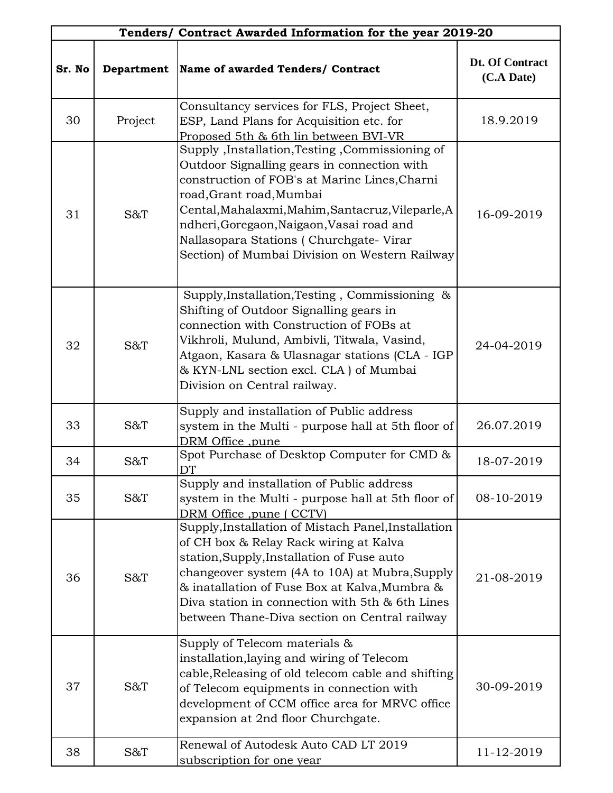|        |            | Tenders/ Contract Awarded Information for the year 2019-20                                                                                                                                                                                                                                                                                                                  |                               |
|--------|------------|-----------------------------------------------------------------------------------------------------------------------------------------------------------------------------------------------------------------------------------------------------------------------------------------------------------------------------------------------------------------------------|-------------------------------|
| Sr. No | Department | Name of awarded Tenders/ Contract                                                                                                                                                                                                                                                                                                                                           | Dt. Of Contract<br>(C.A Date) |
| 30     | Project    | Consultancy services for FLS, Project Sheet,<br>ESP, Land Plans for Acquisition etc. for<br>Proposed 5th & 6th lin between BVI-VR                                                                                                                                                                                                                                           | 18.9.2019                     |
| 31     | S&T        | Supply , Installation, Testing , Commissioning of<br>Outdoor Signalling gears in connection with<br>construction of FOB's at Marine Lines, Charni<br>road, Grant road, Mumbai<br>Cental, Mahalaxmi, Mahim, Santacruz, Vileparle, A<br>ndheri, Goregaon, Naigaon, Vasai road and<br>Nallasopara Stations (Churchgate-Virar<br>Section) of Mumbai Division on Western Railway | 16-09-2019                    |
| 32     | S&T        | Supply, Installation, Testing, Commissioning &<br>Shifting of Outdoor Signalling gears in<br>connection with Construction of FOBs at<br>Vikhroli, Mulund, Ambivli, Titwala, Vasind,<br>Atgaon, Kasara & Ulasnagar stations (CLA - IGP<br>& KYN-LNL section excl. CLA ) of Mumbai<br>Division on Central railway.                                                            | 24-04-2019                    |
| 33     | S&T        | Supply and installation of Public address<br>system in the Multi - purpose hall at 5th floor of<br>DRM Office, pune                                                                                                                                                                                                                                                         | 26.07.2019                    |
| 34     | S&T        | Spot Purchase of Desktop Computer for CMD &<br>DT                                                                                                                                                                                                                                                                                                                           | 18-07-2019                    |
| 35     | S&T        | Supply and installation of Public address<br>system in the Multi - purpose hall at 5th floor of<br>DRM Office, pune (CCTV)                                                                                                                                                                                                                                                  | 08-10-2019                    |
| 36     | S&T        | Supply, Installation of Mistach Panel, Installation<br>of CH box & Relay Rack wiring at Kalva<br>station, Supply, Installation of Fuse auto<br>changeover system (4A to 10A) at Mubra, Supply<br>& inatallation of Fuse Box at Kalva, Mumbra &<br>Diva station in connection with 5th & 6th Lines<br>between Thane-Diva section on Central railway                          | 21-08-2019                    |
| 37     | S&T        | Supply of Telecom materials &<br>installation, laying and wiring of Telecom<br>cable, Releasing of old telecom cable and shifting<br>of Telecom equipments in connection with<br>development of CCM office area for MRVC office<br>expansion at 2nd floor Churchgate.                                                                                                       | 30-09-2019                    |
| 38     | S&T        | Renewal of Autodesk Auto CAD LT 2019<br>subscription for one year                                                                                                                                                                                                                                                                                                           | 11-12-2019                    |